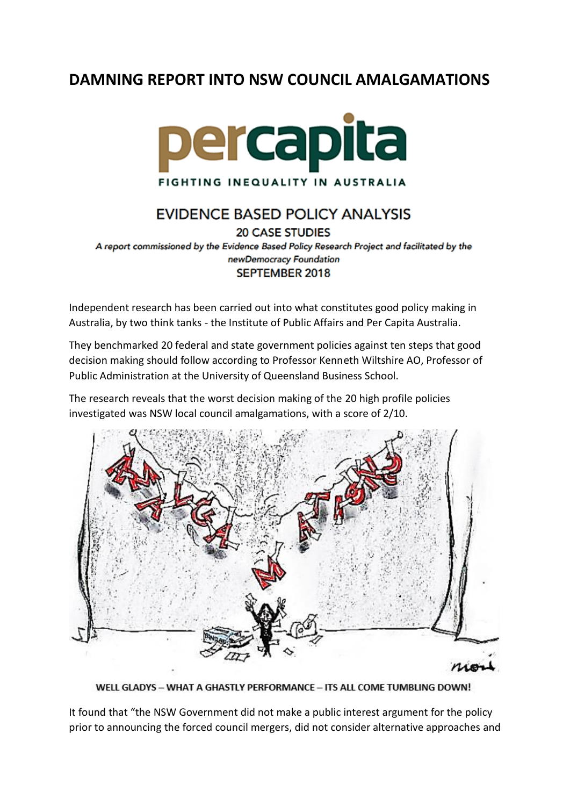## **DAMNING REPORT INTO NSW COUNCIL AMALGAMATIONS**



## **EVIDENCE BASED POLICY ANALYSIS**

**20 CASE STUDIES** A report commissioned by the Evidence Based Policy Research Project and facilitated by the newDemocracy Foundation SEPTEMBER 2018

Independent research has been carried out into what constitutes good policy making in Australia, by two think tanks - the Institute of Public Affairs and Per Capita Australia.

They benchmarked 20 federal and state government policies against ten steps that good decision making should follow according to Professor Kenneth Wiltshire AO, Professor of Public Administration at the University of Queensland Business School.

The research reveals that the worst decision making of the 20 high profile policies investigated was NSW local council amalgamations, with a score of 2/10.



WELL GLADYS - WHAT A GHASTLY PERFORMANCE - ITS ALL COME TUMBLING DOWN!

It found that "the NSW Government did not make a public interest argument for the policy prior to announcing the forced council mergers, did not consider alternative approaches and